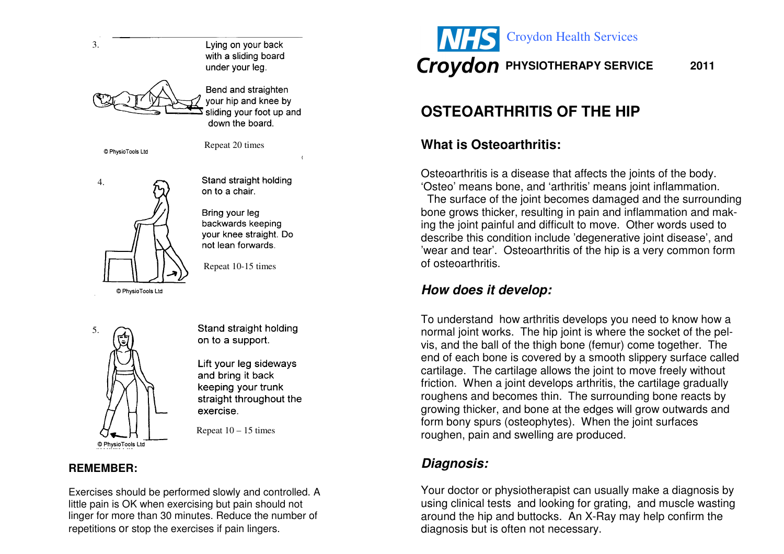

Lift your leg sideways and bring it back keeping your trunk straight throughout the exercise.

Repeat  $10 - 15$  times

#### **REMEMBER:**

© PhysioTools Ltd

Exercises should be performed slowly and controlled. A little pain is OK when exercising but pain should not linger for more than 30 minutes. Reduce the number of repetitions or stop the exercises if pain lingers.



# **OSTEOARTHRITIS OF THE HIP**

#### **What is Osteoarthritis:**

Osteoarthritis is a disease that affects the joints of the body. 'Osteo' means bone, and 'arthritis' means joint inflammation. The surface of the joint becomes damaged and the surrounding bone grows thicker, resulting in pain and inflammation and making the joint painful and difficult to move. Other words used to describe this condition include 'degenerative joint disease', and 'wear and tear'. Osteoarthritis of the hip is a very common form of osteoarthritis.

#### **How does it develop:**

To understand how arthritis develops you need to know how a normal joint works. The hip joint is where the socket of the pelvis, and the ball of the thigh bone (femur) come together. The end of each bone is covered by a smooth slippery surface called cartilage. The cartilage allows the joint to move freely without friction. When a joint develops arthritis, the cartilage gradually roughens and becomes thin. The surrounding bone reacts by growing thicker, and bone at the edges will grow outwards and form bony spurs (osteophytes). When the joint surfaces roughen, pain and swelling are produced.

#### **Diagnosis:**

Your doctor or physiotherapist can usually make a diagnosis by using clinical tests and looking for grating, and muscle wasting around the hip and buttocks. An X-Ray may help confirm the diagnosis but is often not necessary.